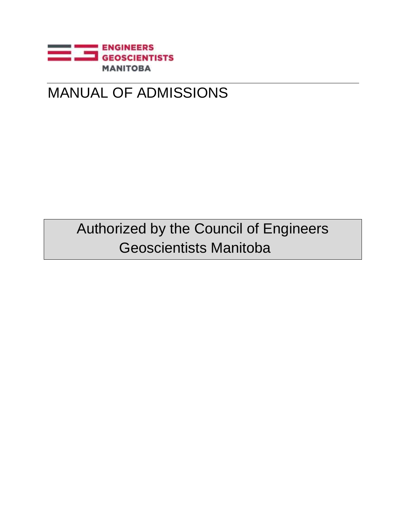

## MANUAL OF ADMISSIONS

Authorized by the Council of Engineers Geoscientists Manitoba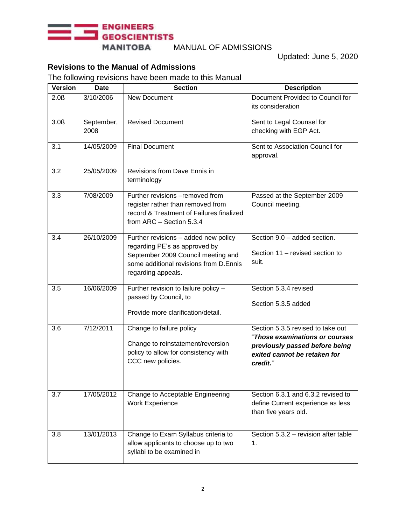#### **ENGINEERS SEOSCIENTISTS**

**MANITOBA** 

#### MANUAL OF ADMISSIONS

Updated: June 5, 2020

### **Revisions to the Manual of Admissions**

The following revisions have been made to this Manual

| <b>Version</b>   | Date               | <b>Section</b>                                                                                                                                                              | <b>Description</b>                                                                                                                                |
|------------------|--------------------|-----------------------------------------------------------------------------------------------------------------------------------------------------------------------------|---------------------------------------------------------------------------------------------------------------------------------------------------|
| 2.0 <sub>0</sub> | 3/10/2006          | New Document                                                                                                                                                                | Document Provided to Council for<br>its consideration                                                                                             |
| 3.0 <sub>0</sub> | September,<br>2008 | <b>Revised Document</b>                                                                                                                                                     | Sent to Legal Counsel for<br>checking with EGP Act.                                                                                               |
| 3.1              | 14/05/2009         | <b>Final Document</b>                                                                                                                                                       | Sent to Association Council for<br>approval.                                                                                                      |
| 3.2              | 25/05/2009         | Revisions from Dave Ennis in<br>terminology                                                                                                                                 |                                                                                                                                                   |
| 3.3              | 7/08/2009          | Further revisions -removed from<br>register rather than removed from<br>record & Treatment of Failures finalized<br>from ARC - Section 5.3.4                                | Passed at the September 2009<br>Council meeting.                                                                                                  |
| 3.4              | 26/10/2009         | Further revisions - added new policy<br>regarding PE's as approved by<br>September 2009 Council meeting and<br>some additional revisions from D.Ennis<br>regarding appeals. | Section 9.0 - added section.<br>Section 11 - revised section to<br>suit.                                                                          |
| 3.5              | 16/06/2009         | Further revision to failure policy -<br>passed by Council, to<br>Provide more clarification/detail.                                                                         | Section 5.3.4 revised<br>Section 5.3.5 added                                                                                                      |
| 3.6              | 7/12/2011          | Change to failure policy<br>Change to reinstatement/reversion<br>policy to allow for consistency with<br>CCC new policies.                                                  | Section 5.3.5 revised to take out<br>"Those examinations or courses<br>previously passed before being<br>exited cannot be retaken for<br>credit." |
| 3.7              | 17/05/2012         | Change to Acceptable Engineering<br><b>Work Experience</b>                                                                                                                  | Section 6.3.1 and 6.3.2 revised to<br>define Current experience as less<br>than five years old.                                                   |
| 3.8              | 13/01/2013         | Change to Exam Syllabus criteria to<br>allow applicants to choose up to two<br>syllabi to be examined in                                                                    | Section 5.3.2 - revision after table<br>1.                                                                                                        |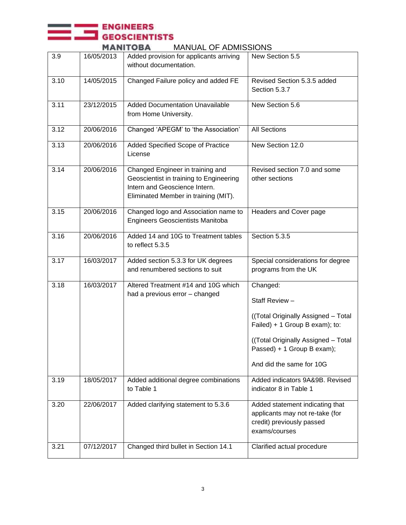# ENGINEERS<br>GEOSCIENTISTS<br>MANITORA MANIIAI OF ADMISSIONS

|      | MANIIUBA<br>MANUAL OF ADMISSIONS |                                                                                                                                                      |                                                                                                                  |  |  |  |  |  |
|------|----------------------------------|------------------------------------------------------------------------------------------------------------------------------------------------------|------------------------------------------------------------------------------------------------------------------|--|--|--|--|--|
| 3.9  | 16/05/2013                       | Added provision for applicants arriving<br>without documentation.                                                                                    | New Section 5.5                                                                                                  |  |  |  |  |  |
| 3.10 | 14/05/2015                       | Changed Failure policy and added FE                                                                                                                  | Revised Section 5.3.5 added<br>Section 5.3.7                                                                     |  |  |  |  |  |
| 3.11 | 23/12/2015                       | <b>Added Documentation Unavailable</b><br>from Home University.                                                                                      | New Section 5.6                                                                                                  |  |  |  |  |  |
| 3.12 | 20/06/2016                       | Changed 'APEGM' to 'the Association'                                                                                                                 | <b>All Sections</b>                                                                                              |  |  |  |  |  |
| 3.13 | 20/06/2016                       | Added Specified Scope of Practice<br>License                                                                                                         | New Section 12.0                                                                                                 |  |  |  |  |  |
| 3.14 | 20/06/2016                       | Changed Engineer in training and<br>Geoscientist in training to Engineering<br>Intern and Geoscience Intern.<br>Eliminated Member in training (MIT). | Revised section 7.0 and some<br>other sections                                                                   |  |  |  |  |  |
| 3.15 | 20/06/2016                       | Changed logo and Association name to<br>Engineers Geoscientists Manitoba                                                                             | Headers and Cover page                                                                                           |  |  |  |  |  |
| 3.16 | 20/06/2016                       | Added 14 and 10G to Treatment tables<br>to reflect 5.3.5                                                                                             | Section 5.3.5                                                                                                    |  |  |  |  |  |
| 3.17 | 16/03/2017                       | Added section 5.3.3 for UK degrees<br>and renumbered sections to suit                                                                                | Special considerations for degree<br>programs from the UK                                                        |  |  |  |  |  |
| 3.18 | 16/03/2017                       | Altered Treatment #14 and 10G which<br>had a previous error - changed                                                                                | Changed:                                                                                                         |  |  |  |  |  |
|      |                                  |                                                                                                                                                      | Staff Review -                                                                                                   |  |  |  |  |  |
|      |                                  |                                                                                                                                                      | ((Total Originally Assigned - Total<br>Failed) + 1 Group B exam); to:                                            |  |  |  |  |  |
|      |                                  |                                                                                                                                                      | ((Total Originally Assigned - Total<br>Passed) + 1 Group B exam);                                                |  |  |  |  |  |
|      |                                  |                                                                                                                                                      | And did the same for 10G                                                                                         |  |  |  |  |  |
| 3.19 | 18/05/2017                       | Added additional degree combinations<br>to Table 1                                                                                                   | Added indicators 9A&9B. Revised<br>indicator 8 in Table 1                                                        |  |  |  |  |  |
| 3.20 | 22/06/2017                       | Added clarifying statement to 5.3.6                                                                                                                  | Added statement indicating that<br>applicants may not re-take (for<br>credit) previously passed<br>exams/courses |  |  |  |  |  |
| 3.21 | 07/12/2017                       | Changed third bullet in Section 14.1                                                                                                                 | Clarified actual procedure                                                                                       |  |  |  |  |  |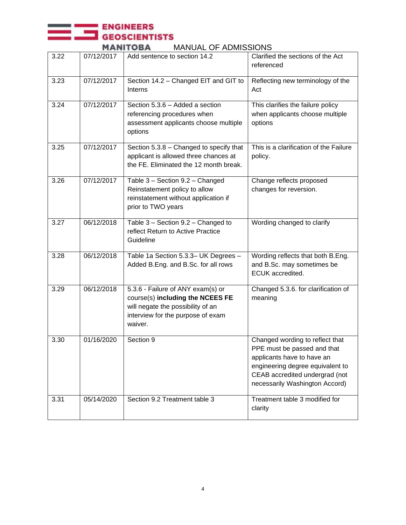## **ENGINEERS**<br> **SEOSCIENTISTS**

MANUAL OF ADMISSIONS

| 3.22 | 07/12/2017 | Add sentence to section 14.2                                                                                                                               | Clarified the sections of the Act<br>referenced                                                                                                                                                      |
|------|------------|------------------------------------------------------------------------------------------------------------------------------------------------------------|------------------------------------------------------------------------------------------------------------------------------------------------------------------------------------------------------|
| 3.23 | 07/12/2017 | Section 14.2 - Changed EIT and GIT to<br>Interns                                                                                                           | Reflecting new terminology of the<br>Act                                                                                                                                                             |
| 3.24 | 07/12/2017 | Section 5.3.6 - Added a section<br>referencing procedures when<br>assessment applicants choose multiple<br>options                                         | This clarifies the failure policy<br>when applicants choose multiple<br>options                                                                                                                      |
| 3.25 | 07/12/2017 | Section 5.3.8 - Changed to specify that<br>applicant is allowed three chances at<br>the FE. Eliminated the 12 month break.                                 | This is a clarification of the Failure<br>policy.                                                                                                                                                    |
| 3.26 | 07/12/2017 | Table 3 - Section 9.2 - Changed<br>Reinstatement policy to allow<br>reinstatement without application if<br>prior to TWO years                             | Change reflects proposed<br>changes for reversion.                                                                                                                                                   |
| 3.27 | 06/12/2018 | Table 3 - Section 9.2 - Changed to<br>reflect Return to Active Practice<br>Guideline                                                                       | Wording changed to clarify                                                                                                                                                                           |
| 3.28 | 06/12/2018 | Table 1a Section 5.3.3- UK Degrees -<br>Added B.Eng. and B.Sc. for all rows                                                                                | Wording reflects that both B.Eng.<br>and B.Sc. may sometimes be<br>ECUK accredited.                                                                                                                  |
| 3.29 | 06/12/2018 | 5.3.6 - Failure of ANY exam(s) or<br>course(s) including the NCEES FE<br>will negate the possibility of an<br>interview for the purpose of exam<br>waiver. | Changed 5.3.6. for clarification of<br>meaning                                                                                                                                                       |
| 3.30 | 01/16/2020 | Section 9                                                                                                                                                  | Changed wording to reflect that<br>PPE must be passed and that<br>applicants have to have an<br>engineering degree equivalent to<br>CEAB accredited undergrad (not<br>necessarily Washington Accord) |
| 3.31 | 05/14/2020 | Section 9.2 Treatment table 3                                                                                                                              | Treatment table 3 modified for<br>clarity                                                                                                                                                            |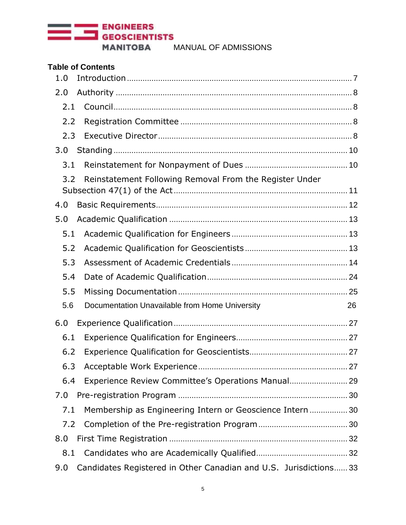

| <b>Table of Contents</b>                                                 |    |
|--------------------------------------------------------------------------|----|
| 1.0                                                                      |    |
| 2.0                                                                      |    |
| 2.1                                                                      |    |
| 2.2                                                                      |    |
| 2.3                                                                      |    |
| 3.0                                                                      |    |
| 3.1                                                                      |    |
| Reinstatement Following Removal From the Register Under<br>3.2           |    |
| 4.0                                                                      |    |
| 5.0                                                                      |    |
| 5.1                                                                      |    |
| 5.2                                                                      |    |
| 5.3                                                                      |    |
| 5.4                                                                      |    |
| 5.5                                                                      |    |
| 5.6<br>Documentation Unavailable from Home University                    | 26 |
| 6.0                                                                      |    |
| 6.1                                                                      |    |
| 6.2                                                                      |    |
| 6.3                                                                      |    |
| Experience Review Committee's Operations Manual 29<br>6.4                |    |
| 7.0                                                                      |    |
| Membership as Engineering Intern or Geoscience Intern  30<br>7.1         |    |
| 7.2                                                                      |    |
| 8.0                                                                      |    |
| 8.1                                                                      |    |
| Candidates Registered in Other Canadian and U.S. Jurisdictions 33<br>9.0 |    |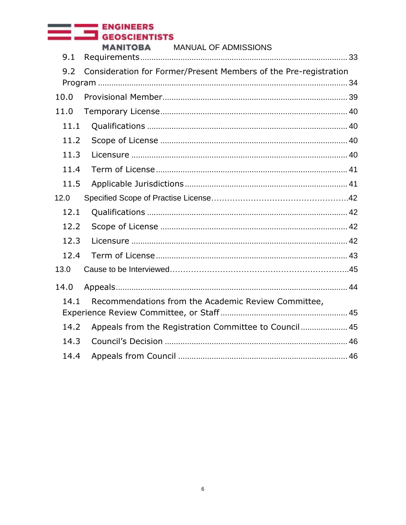## ENGINEERS<br>GEOSCIENTISTS

**MANITOBA** MANUAL OF ADMISSIONS

| 9.1  |                                                                  |
|------|------------------------------------------------------------------|
| 9.2  | Consideration for Former/Present Members of the Pre-registration |
| 10.0 |                                                                  |
| 11.0 |                                                                  |
| 11.1 |                                                                  |
| 11.2 |                                                                  |
| 11.3 |                                                                  |
| 11.4 |                                                                  |
| 11.5 |                                                                  |
| 12.0 |                                                                  |
| 12.1 |                                                                  |
| 12.2 |                                                                  |
| 12.3 |                                                                  |
| 12.4 |                                                                  |
| 13.0 |                                                                  |
| 14.0 |                                                                  |
| 14.1 | Recommendations from the Academic Review Committee,              |
| 14.2 | Appeals from the Registration Committee to Council 45            |
| 14.3 |                                                                  |
| 14.4 |                                                                  |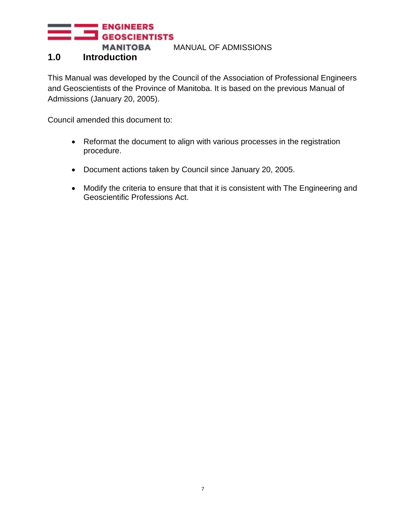#### <span id="page-6-0"></span>**1.0 Introduction**

This Manual was developed by the Council of the Association of Professional Engineers and Geoscientists of the Province of Manitoba. It is based on the previous Manual of Admissions (January 20, 2005).

Council amended this document to:

- Reformat the document to align with various processes in the registration procedure.
- Document actions taken by Council since January 20, 2005.
- Modify the criteria to ensure that that it is consistent with The Engineering and Geoscientific Professions Act.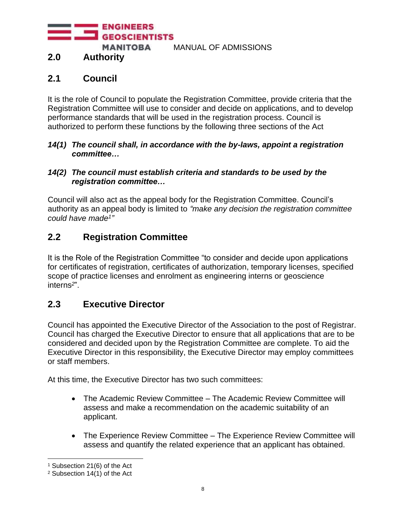**ENGINEERS GEOSCIENTISTS** 

**MANITOBA** 

MANUAL OF ADMISSIONS

## <span id="page-7-0"></span>**2.0 Authority**

#### <span id="page-7-1"></span>**2.1 Council**

It is the role of Council to populate the Registration Committee, provide criteria that the Registration Committee will use to consider and decide on applications, and to develop performance standards that will be used in the registration process. Council is authorized to perform these functions by the following three sections of the Act

#### *14(1) The council shall, in accordance with the by-laws, appoint a registration committee…*

#### *14(2) The council must establish criteria and standards to be used by the registration committee…*

Council will also act as the appeal body for the Registration Committee. Council's authority as an appeal body is limited to *"make any decision the registration committee could have made<sup>1</sup> "*

#### <span id="page-7-2"></span>**2.2 Registration Committee**

It is the Role of the Registration Committee "to consider and decide upon applications for certificates of registration, certificates of authorization, temporary licenses, specified scope of practice licenses and enrolment as engineering interns or geoscience interns*<sup>2</sup>* ".

#### <span id="page-7-3"></span>**2.3 Executive Director**

Council has appointed the Executive Director of the Association to the post of Registrar. Council has charged the Executive Director to ensure that all applications that are to be considered and decided upon by the Registration Committee are complete. To aid the Executive Director in this responsibility, the Executive Director may employ committees or staff members.

At this time, the Executive Director has two such committees:

- The Academic Review Committee The Academic Review Committee will assess and make a recommendation on the academic suitability of an applicant.
- The Experience Review Committee The Experience Review Committee will assess and quantify the related experience that an applicant has obtained.

<sup>1</sup> Subsection 21(6) of the Act

<sup>2</sup> Subsection 14(1) of the Act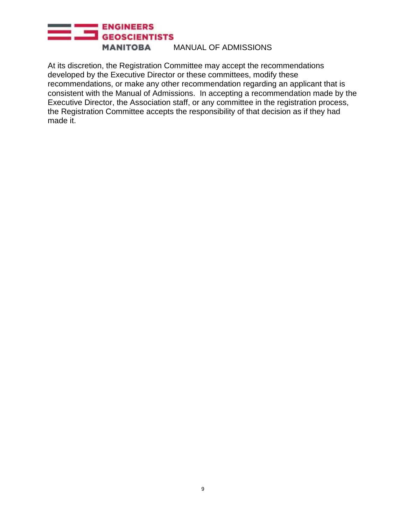#### ENGINEERS **MANITOBA** MANUAL OF ADMISSIONS

At its discretion, the Registration Committee may accept the recommendations developed by the Executive Director or these committees, modify these recommendations, or make any other recommendation regarding an applicant that is consistent with the Manual of Admissions. In accepting a recommendation made by the Executive Director, the Association staff, or any committee in the registration process, the Registration Committee accepts the responsibility of that decision as if they had made it.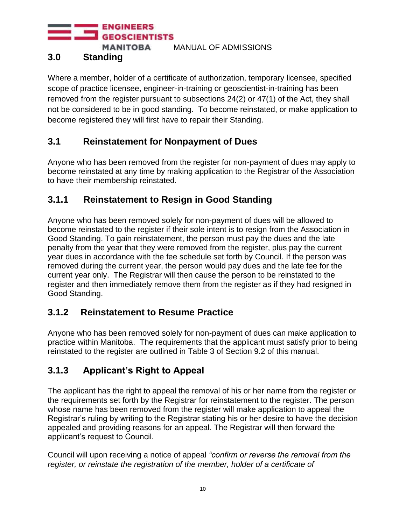**ENGINEERS** 

**MANITOBA** 

MANUAL OF ADMISSIONS

## <span id="page-9-0"></span>**3.0 Standing**

Where a member, holder of a certificate of authorization, temporary licensee, specified scope of practice licensee, engineer-in-training or geoscientist-in-training has been removed from the register pursuant to subsections 24(2) or 47(1) of the Act, they shall not be considered to be in good standing. To become reinstated, or make application to become registered they will first have to repair their Standing.

## <span id="page-9-1"></span>**3.1 Reinstatement for Nonpayment of Dues**

Anyone who has been removed from the register for non-payment of dues may apply to become reinstated at any time by making application to the Registrar of the Association to have their membership reinstated.

## **3.1.1 Reinstatement to Resign in Good Standing**

Anyone who has been removed solely for non-payment of dues will be allowed to become reinstated to the register if their sole intent is to resign from the Association in Good Standing. To gain reinstatement, the person must pay the dues and the late penalty from the year that they were removed from the register, plus pay the current year dues in accordance with the fee schedule set forth by Council. If the person was removed during the current year, the person would pay dues and the late fee for the current year only. The Registrar will then cause the person to be reinstated to the register and then immediately remove them from the register as if they had resigned in Good Standing.

## **3.1.2 Reinstatement to Resume Practice**

Anyone who has been removed solely for non-payment of dues can make application to practice within Manitoba. The requirements that the applicant must satisfy prior to being reinstated to the register are outlined in Table 3 of Section 9.2 of this manual.

## **3.1.3 Applicant's Right to Appeal**

The applicant has the right to appeal the removal of his or her name from the register or the requirements set forth by the Registrar for reinstatement to the register. The person whose name has been removed from the register will make application to appeal the Registrar's ruling by writing to the Registrar stating his or her desire to have the decision appealed and providing reasons for an appeal. The Registrar will then forward the applicant's request to Council.

Council will upon receiving a notice of appeal *"confirm or reverse the removal from the register, or reinstate the registration of the member, holder of a certificate of*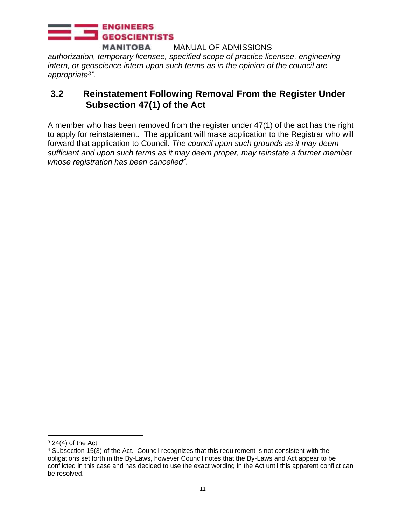*authorization, temporary licensee, specified scope of practice licensee, engineering intern, or geoscience intern upon such terms as in the opinion of the council are appropriate<sup>3</sup> ".*

#### <span id="page-10-0"></span>**3.2 Reinstatement Following Removal From the Register Under Subsection 47(1) of the Act**

A member who has been removed from the register under 47(1) of the act has the right to apply for reinstatement. The applicant will make application to the Registrar who will forward that application to Council. *The council upon such grounds as it may deem sufficient and upon such terms as it may deem proper, may reinstate a former member whose registration has been cancelled<sup>4</sup> .*

 $3$  24(4) of the Act

<sup>4</sup> Subsection 15(3) of the Act. Council recognizes that this requirement is not consistent with the obligations set forth in the By-Laws, however Council notes that the By-Laws and Act appear to be conflicted in this case and has decided to use the exact wording in the Act until this apparent conflict can be resolved.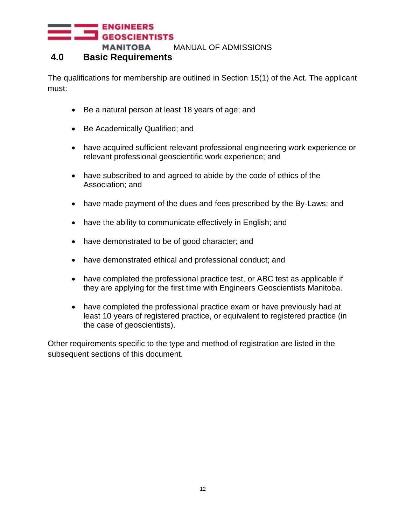#### <span id="page-11-0"></span>**4.0 Basic Requirements**

The qualifications for membership are outlined in Section 15(1) of the Act. The applicant must:

- Be a natural person at least 18 years of age; and
- Be Academically Qualified; and
- have acquired sufficient relevant professional engineering work experience or relevant professional geoscientific work experience; and
- have subscribed to and agreed to abide by the code of ethics of the Association; and
- have made payment of the dues and fees prescribed by the By-Laws; and
- have the ability to communicate effectively in English; and
- have demonstrated to be of good character; and
- have demonstrated ethical and professional conduct; and
- have completed the professional practice test, or ABC test as applicable if they are applying for the first time with Engineers Geoscientists Manitoba.
- have completed the professional practice exam or have previously had at least 10 years of registered practice, or equivalent to registered practice (in the case of geoscientists).

Other requirements specific to the type and method of registration are listed in the subsequent sections of this document.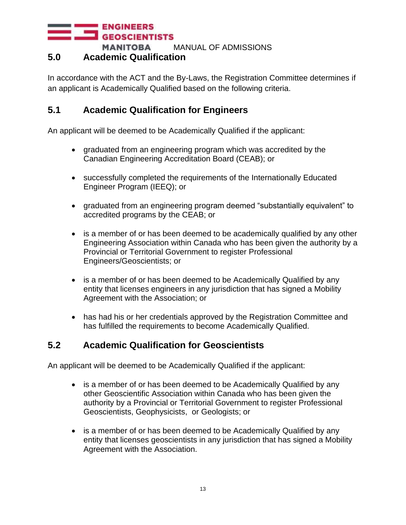#### <span id="page-12-0"></span>**5.0 Academic Qualification**

In accordance with the ACT and the By-Laws, the Registration Committee determines if an applicant is Academically Qualified based on the following criteria.

#### <span id="page-12-1"></span>**5.1 Academic Qualification for Engineers**

An applicant will be deemed to be Academically Qualified if the applicant:

- graduated from an engineering program which was accredited by the Canadian Engineering Accreditation Board (CEAB); or
- successfully completed the requirements of the Internationally Educated Engineer Program (IEEQ); or
- graduated from an engineering program deemed "substantially equivalent" to accredited programs by the CEAB; or
- is a member of or has been deemed to be academically qualified by any other Engineering Association within Canada who has been given the authority by a Provincial or Territorial Government to register Professional Engineers/Geoscientists; or
- is a member of or has been deemed to be Academically Qualified by any entity that licenses engineers in any jurisdiction that has signed a Mobility Agreement with the Association; or
- has had his or her credentials approved by the Registration Committee and has fulfilled the requirements to become Academically Qualified.

#### <span id="page-12-2"></span>**5.2 Academic Qualification for Geoscientists**

An applicant will be deemed to be Academically Qualified if the applicant:

- is a member of or has been deemed to be Academically Qualified by any other Geoscientific Association within Canada who has been given the authority by a Provincial or Territorial Government to register Professional Geoscientists, Geophysicists, or Geologists; or
- is a member of or has been deemed to be Academically Qualified by any entity that licenses geoscientists in any jurisdiction that has signed a Mobility Agreement with the Association.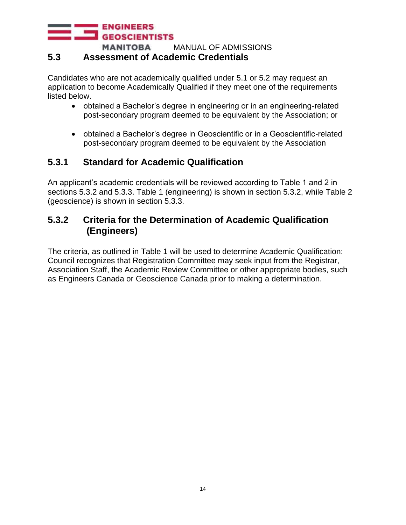#### **ENGINEERS GEOSCIENTISTS MANITOBA**

MANUAL OF ADMISSIONS

#### <span id="page-13-0"></span>**5.3 Assessment of Academic Credentials**

Candidates who are not academically qualified under 5.1 or 5.2 may request an application to become Academically Qualified if they meet one of the requirements listed below.

- obtained a Bachelor's degree in engineering or in an engineering-related post-secondary program deemed to be equivalent by the Association; or
- obtained a Bachelor's degree in Geoscientific or in a Geoscientific-related post-secondary program deemed to be equivalent by the Association

### **5.3.1 Standard for Academic Qualification**

An applicant's academic credentials will be reviewed according to Table 1 and 2 in sections 5.3.2 and 5.3.3. Table 1 (engineering) is shown in section 5.3.2, while Table 2 (geoscience) is shown in section 5.3.3.

#### **5.3.2 Criteria for the Determination of Academic Qualification (Engineers)**

The criteria, as outlined in Table 1 will be used to determine Academic Qualification: Council recognizes that Registration Committee may seek input from the Registrar, Association Staff, the Academic Review Committee or other appropriate bodies, such as Engineers Canada or Geoscience Canada prior to making a determination.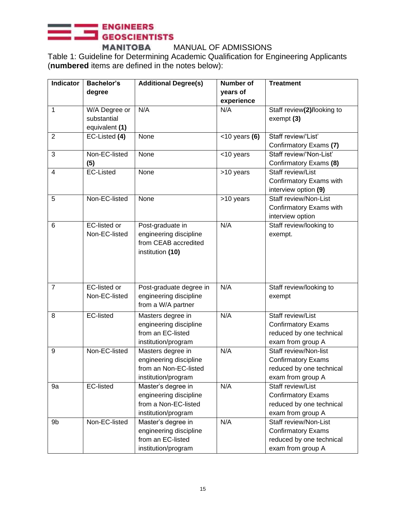## **ENGINEERS** GEOSCIENTISTS

**MANITOBA** MANUAL OF ADMISSIONS Table 1: Guideline for Determining Academic Qualification for Engineering Applicants (**numbered** items are defined in the notes below):

| <b>Indicator</b> | <b>Bachelor's</b>                    | <b>Additional Degree(s)</b>                  | <b>Number of</b>   | <b>Treatment</b>                              |
|------------------|--------------------------------------|----------------------------------------------|--------------------|-----------------------------------------------|
|                  | degree                               |                                              | years of           |                                               |
|                  |                                      | N/A                                          | experience         |                                               |
| 1                | W/A Degree or<br>substantial         |                                              | N/A                | Staff review(2)/looking to<br>exempt (3)      |
|                  | equivalent (1)                       |                                              |                    |                                               |
| $\overline{2}$   | EC-Listed (4)                        | None                                         | $<$ 10 years (6)   | Staff review/'List'                           |
|                  |                                      |                                              |                    | Confirmatory Exams (7)                        |
| $\overline{3}$   | Non-EC-listed                        | None                                         | $\sqrt{510}$ years | Staff review/'Non-List'                       |
|                  | (5)                                  |                                              |                    | Confirmatory Exams (8)                        |
| 4                | <b>EC-Listed</b>                     | None                                         | >10 years          | Staff review/List                             |
|                  |                                      |                                              |                    | Confirmatory Exams with                       |
|                  |                                      |                                              |                    | interview option (9)                          |
| 5                | Non-EC-listed                        | None                                         | >10 years          | Staff review/Non-List                         |
|                  |                                      |                                              |                    | Confirmatory Exams with                       |
|                  |                                      |                                              |                    | interview option                              |
| 6                | <b>EC-listed or</b>                  | Post-graduate in                             | N/A                | Staff review/looking to                       |
|                  | Non-EC-listed                        | engineering discipline                       |                    | exempt.                                       |
|                  |                                      | from CEAB accredited                         |                    |                                               |
|                  |                                      | institution (10)                             |                    |                                               |
|                  |                                      |                                              |                    |                                               |
|                  |                                      |                                              |                    |                                               |
|                  |                                      |                                              |                    |                                               |
| $\overline{7}$   | <b>EC-listed or</b><br>Non-EC-listed | Post-graduate degree in                      | N/A                | Staff review/looking to                       |
|                  |                                      | engineering discipline<br>from a W/A partner |                    | exempt                                        |
|                  |                                      |                                              |                    |                                               |
| 8                | <b>EC-listed</b>                     | Masters degree in                            | N/A                | Staff review/List                             |
|                  |                                      | engineering discipline                       |                    | <b>Confirmatory Exams</b>                     |
|                  |                                      | from an EC-listed                            |                    | reduced by one technical<br>exam from group A |
| 9                | Non-EC-listed                        | institution/program<br>Masters degree in     | N/A                | Staff review/Non-list                         |
|                  |                                      | engineering discipline                       |                    | <b>Confirmatory Exams</b>                     |
|                  |                                      | from an Non-EC-listed                        |                    | reduced by one technical                      |
|                  |                                      | institution/program                          |                    | exam from group A                             |
| 9a               | <b>EC-listed</b>                     | Master's degree in                           | N/A                | Staff review/List                             |
|                  |                                      | engineering discipline                       |                    | <b>Confirmatory Exams</b>                     |
|                  |                                      | from a Non-EC-listed                         |                    | reduced by one technical                      |
|                  |                                      | institution/program                          |                    | exam from group A                             |
| 9b               | Non-EC-listed                        | Master's degree in                           | N/A                | Staff review/Non-List                         |
|                  |                                      | engineering discipline                       |                    | <b>Confirmatory Exams</b>                     |
|                  |                                      | from an EC-listed                            |                    | reduced by one technical                      |
|                  |                                      | institution/program                          |                    | exam from group A                             |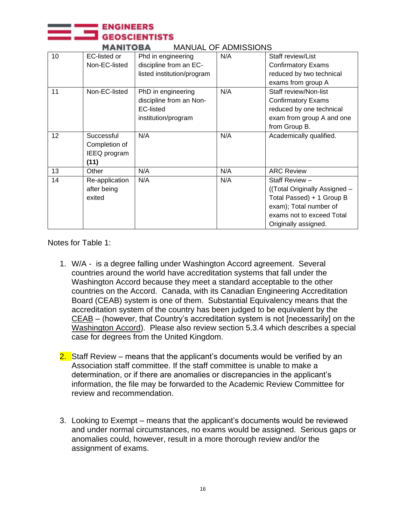|    |                                                     |                                                                                   |     | <b>MANITOBA</b><br><b>MANUAL OF ADMISSIONS</b>                                                                                                              |  |  |  |  |  |  |
|----|-----------------------------------------------------|-----------------------------------------------------------------------------------|-----|-------------------------------------------------------------------------------------------------------------------------------------------------------------|--|--|--|--|--|--|
| 10 | <b>EC-listed or</b><br>Non-EC-listed                | Phd in engineering<br>discipline from an EC-<br>listed institution/program        | N/A | Staff review/List<br><b>Confirmatory Exams</b><br>reduced by two technical<br>exams from group A                                                            |  |  |  |  |  |  |
| 11 | Non-EC-listed                                       | PhD in engineering<br>discipline from an Non-<br>EC-listed<br>institution/program | N/A | Staff review/Non-list<br><b>Confirmatory Exams</b><br>reduced by one technical<br>exam from group A and one<br>from Group B.                                |  |  |  |  |  |  |
| 12 | Successful<br>Completion of<br>IEEQ program<br>(11) | N/A                                                                               | N/A | Academically qualified.                                                                                                                                     |  |  |  |  |  |  |
| 13 | Other                                               | N/A                                                                               | N/A | <b>ARC Review</b>                                                                                                                                           |  |  |  |  |  |  |
| 14 | Re-application<br>after being<br>exited             | N/A                                                                               | N/A | Staff Review -<br>((Total Originally Assigned -<br>Total Passed) + 1 Group B<br>exam); Total number of<br>exams not to exceed Total<br>Originally assigned. |  |  |  |  |  |  |

Notes for Table 1:

**ENGINEERS** 

- 1. W/A is a degree falling under Washington Accord agreement. Several countries around the world have accreditation systems that fall under the Washington Accord because they meet a standard acceptable to the other countries on the Accord. Canada, with its Canadian Engineering Accreditation Board (CEAB) system is one of them. Substantial Equivalency means that the accreditation system of the country has been judged to be equivalent by the CEAB – (however, that Country's accreditation system is not [necessarily] on the Washington Accord). Please also review section 5.3.4 which describes a special case for degrees from the United Kingdom.
- 2. Staff Review means that the applicant's documents would be verified by an Association staff committee. If the staff committee is unable to make a determination, or if there are anomalies or discrepancies in the applicant's information, the file may be forwarded to the Academic Review Committee for review and recommendation.
- 3. Looking to Exempt means that the applicant's documents would be reviewed and under normal circumstances, no exams would be assigned. Serious gaps or anomalies could, however, result in a more thorough review and/or the assignment of exams.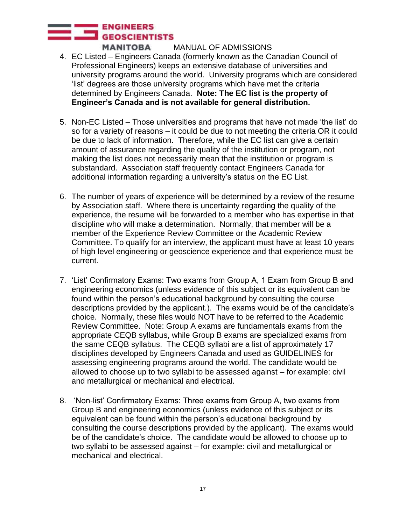- 4. EC Listed Engineers Canada (formerly known as the Canadian Council of Professional Engineers) keeps an extensive database of universities and university programs around the world. University programs which are considered 'list' degrees are those university programs which have met the criteria determined by Engineers Canada. **Note: The EC list is the property of Engineer's Canada and is not available for general distribution.**
- 5. Non-EC Listed Those universities and programs that have not made 'the list' do so for a variety of reasons – it could be due to not meeting the criteria OR it could be due to lack of information. Therefore, while the EC list can give a certain amount of assurance regarding the quality of the institution or program, not making the list does not necessarily mean that the institution or program is substandard. Association staff frequently contact Engineers Canada for additional information regarding a university's status on the EC List.
- 6. The number of years of experience will be determined by a review of the resume by Association staff. Where there is uncertainty regarding the quality of the experience, the resume will be forwarded to a member who has expertise in that discipline who will make a determination. Normally, that member will be a member of the Experience Review Committee or the Academic Review Committee. To qualify for an interview, the applicant must have at least 10 years of high level engineering or geoscience experience and that experience must be current.
- 7. 'List' Confirmatory Exams: Two exams from Group A, 1 Exam from Group B and engineering economics (unless evidence of this subject or its equivalent can be found within the person's educational background by consulting the course descriptions provided by the applicant.). The exams would be of the candidate's choice. Normally, these files would NOT have to be referred to the Academic Review Committee. Note: Group A exams are fundamentals exams from the appropriate CEQB syllabus, while Group B exams are specialized exams from the same CEQB syllabus. The CEQB syllabi are a list of approximately 17 disciplines developed by Engineers Canada and used as GUIDELINES for assessing engineering programs around the world. The candidate would be allowed to choose up to two syllabi to be assessed against – for example: civil and metallurgical or mechanical and electrical.
- 8. 'Non-list' Confirmatory Exams: Three exams from Group A, two exams from Group B and engineering economics (unless evidence of this subject or its equivalent can be found within the person's educational background by consulting the course descriptions provided by the applicant). The exams would be of the candidate's choice. The candidate would be allowed to choose up to two syllabi to be assessed against – for example: civil and metallurgical or mechanical and electrical.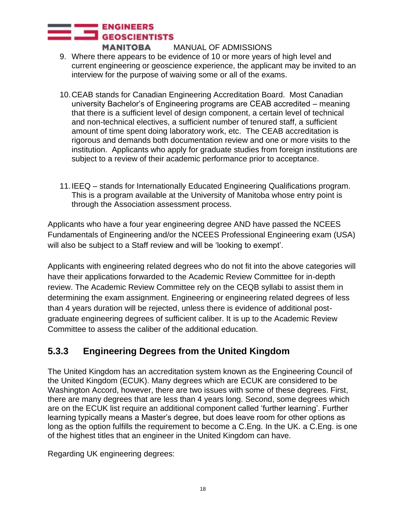- 9. Where there appears to be evidence of 10 or more years of high level and current engineering or geoscience experience, the applicant may be invited to an interview for the purpose of waiving some or all of the exams.
- 10.CEAB stands for Canadian Engineering Accreditation Board. Most Canadian university Bachelor's of Engineering programs are CEAB accredited – meaning that there is a sufficient level of design component, a certain level of technical and non-technical electives, a sufficient number of tenured staff, a sufficient amount of time spent doing laboratory work, etc. The CEAB accreditation is rigorous and demands both documentation review and one or more visits to the institution. Applicants who apply for graduate studies from foreign institutions are subject to a review of their academic performance prior to acceptance.
- 11.IEEQ stands for Internationally Educated Engineering Qualifications program. This is a program available at the University of Manitoba whose entry point is through the Association assessment process.

Applicants who have a four year engineering degree AND have passed the NCEES Fundamentals of Engineering and/or the NCEES Professional Engineering exam (USA) will also be subject to a Staff review and will be 'looking to exempt'.

Applicants with engineering related degrees who do not fit into the above categories will have their applications forwarded to the Academic Review Committee for in-depth review. The Academic Review Committee rely on the CEQB syllabi to assist them in determining the exam assignment. Engineering or engineering related degrees of less than 4 years duration will be rejected, unless there is evidence of additional postgraduate engineering degrees of sufficient caliber. It is up to the Academic Review Committee to assess the caliber of the additional education.

## **5.3.3 Engineering Degrees from the United Kingdom**

The United Kingdom has an accreditation system known as the Engineering Council of the United Kingdom (ECUK). Many degrees which are ECUK are considered to be Washington Accord, however, there are two issues with some of these degrees. First, there are many degrees that are less than 4 years long. Second, some degrees which are on the ECUK list require an additional component called 'further learning'. Further learning typically means a Master's degree, but does leave room for other options as long as the option fulfills the requirement to become a C.Eng. In the UK. a C.Eng. is one of the highest titles that an engineer in the United Kingdom can have.

Regarding UK engineering degrees: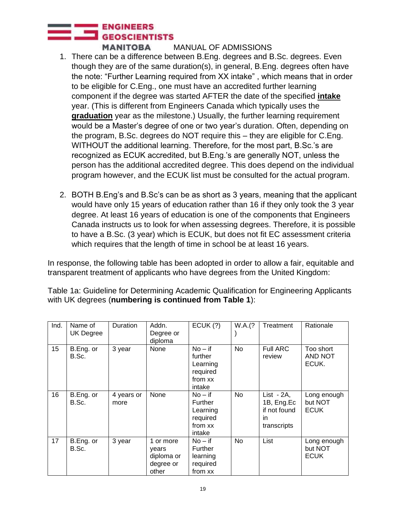- 1. There can be a difference between B.Eng. degrees and B.Sc. degrees. Even though they are of the same duration(s), in general, B.Eng. degrees often have the note: "Further Learning required from XX intake" , which means that in order to be eligible for C.Eng., one must have an accredited further learning component if the degree was started AFTER the date of the specified **intake** year. (This is different from Engineers Canada which typically uses the **graduation** year as the milestone.) Usually, the further learning requirement would be a Master's degree of one or two year's duration. Often, depending on the program, B.Sc. degrees do NOT require this – they are eligible for C.Eng. WITHOUT the additional learning. Therefore, for the most part, B.Sc.'s are recognized as ECUK accredited, but B.Eng.'s are generally NOT, unless the person has the additional accredited degree. This does depend on the individual program however, and the ECUK list must be consulted for the actual program.
- 2. BOTH B.Eng's and B.Sc's can be as short as 3 years, meaning that the applicant would have only 15 years of education rather than 16 if they only took the 3 year degree. At least 16 years of education is one of the components that Engineers Canada instructs us to look for when assessing degrees. Therefore, it is possible to have a B.Sc. (3 year) which is ECUK, but does not fit EC assessment criteria which requires that the length of time in school be at least 16 years.

In response, the following table has been adopted in order to allow a fair, equitable and transparent treatment of applicants who have degrees from the United Kingdom:

Table 1a: Guideline for Determining Academic Qualification for Engineering Applicants with UK degrees (**numbering is continued from Table 1**):

| Ind. | Name of<br><b>UK Degree</b> | <b>Duration</b>    | Addn.<br>Degree or<br>diploma                          | ECUK(?)                                                           | W.A.(?    | Treatment                                                       | Rationale                             |
|------|-----------------------------|--------------------|--------------------------------------------------------|-------------------------------------------------------------------|-----------|-----------------------------------------------------------------|---------------------------------------|
| 15   | B.Eng. or<br>B.Sc.          | 3 year             | None                                                   | $No - if$<br>further<br>Learning<br>required<br>from xx<br>intake | <b>No</b> | <b>Full ARC</b><br>review                                       | Too short<br>AND NOT<br>ECUK.         |
| 16   | B.Eng. or<br>B.Sc.          | 4 years or<br>more | None                                                   | $No - if$<br>Further<br>Learning<br>required<br>from xx<br>intake | <b>No</b> | List $-2A$ ,<br>1B, Eng.Ec<br>if not found<br>in<br>transcripts | Long enough<br>but NOT<br><b>ECUK</b> |
| 17   | B.Eng. or<br>B.Sc.          | 3 year             | 1 or more<br>years<br>diploma or<br>degree or<br>other | $No - if$<br>Further<br>learning<br>required<br>from xx           | <b>No</b> | List                                                            | Long enough<br>but NOT<br><b>ECUK</b> |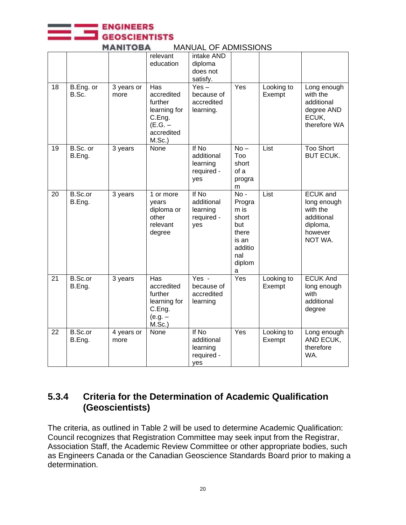**ENGINEERS GEOSCIENTISTS** 

|    |                    |                    | relevant<br>education                                                                        | intake AND<br>diploma<br>does not<br>satisfy.        |                                                                                             |                      |                                                                                            |
|----|--------------------|--------------------|----------------------------------------------------------------------------------------------|------------------------------------------------------|---------------------------------------------------------------------------------------------|----------------------|--------------------------------------------------------------------------------------------|
| 18 | B.Eng. or<br>B.Sc. | 3 years or<br>more | Has<br>accredited<br>further<br>learning for<br>C.Eng.<br>(E.G. –<br>accredited<br>$M.Sc.$ ) | $Yes -$<br>because of<br>accredited<br>learning.     | Yes                                                                                         | Looking to<br>Exempt | Long enough<br>with the<br>additional<br>degree AND<br>ECUK,<br>therefore WA               |
| 19 | B.Sc. or<br>B.Eng. | 3 years            | None                                                                                         | If No<br>additional<br>learning<br>required -<br>yes | $No -$<br>Too<br>short<br>of a<br>progra<br>m                                               | List                 | <b>Too Short</b><br><b>BUT ECUK.</b>                                                       |
| 20 | B.Sc.or<br>B.Eng.  | 3 years            | 1 or more<br>years<br>diploma or<br>other<br>relevant<br>degree                              | If No<br>additional<br>learning<br>required -<br>yes | $No -$<br>Progra<br>m is<br>short<br>but<br>there<br>is an<br>additio<br>nal<br>diplom<br>a | List                 | <b>ECUK</b> and<br>long enough<br>with the<br>additional<br>diploma,<br>however<br>NOT WA. |
| 21 | B.Sc.or<br>B.Eng.  | 3 years            | Has<br>accredited<br>further<br>learning for<br>C.Eng.<br>$(e.g. -$<br>$M.Sc.$ )             | Yes -<br>because of<br>accredited<br>learning        | Yes                                                                                         | Looking to<br>Exempt | <b>ECUK And</b><br>long enough<br>with<br>additional<br>degree                             |
| 22 | B.Sc.or<br>B.Eng.  | 4 years or<br>more | None                                                                                         | If No<br>additional<br>learning<br>required -<br>yes | Yes                                                                                         | Looking to<br>Exempt | Long enough<br>AND ECUK,<br>therefore<br>WA.                                               |

#### **MANITOBA** MANUAL OF ADMISSIONS

#### **5.3.4 Criteria for the Determination of Academic Qualification (Geoscientists)**

The criteria, as outlined in Table 2 will be used to determine Academic Qualification: Council recognizes that Registration Committee may seek input from the Registrar, Association Staff, the Academic Review Committee or other appropriate bodies, such as Engineers Canada or the Canadian Geoscience Standards Board prior to making a determination.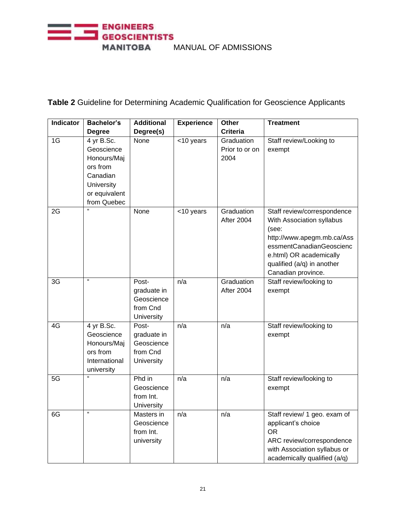

**Table 2** Guideline for Determining Academic Qualification for Geoscience Applicants

| <b>Indicator</b> | <b>Bachelor's</b>                                                                                             | <b>Additional</b>                                            | <b>Experience</b> | <b>Other</b>                         | <b>Treatment</b>                                                                                                                                                                                           |
|------------------|---------------------------------------------------------------------------------------------------------------|--------------------------------------------------------------|-------------------|--------------------------------------|------------------------------------------------------------------------------------------------------------------------------------------------------------------------------------------------------------|
|                  | <b>Degree</b>                                                                                                 | Degree(s)                                                    |                   | <b>Criteria</b>                      |                                                                                                                                                                                                            |
| 1G               | 4 yr B.Sc.<br>Geoscience<br>Honours/Maj<br>ors from<br>Canadian<br>University<br>or equivalent<br>from Quebec | None                                                         | <10 years         | Graduation<br>Prior to or on<br>2004 | Staff review/Looking to<br>exempt                                                                                                                                                                          |
| 2G               | a,                                                                                                            | None                                                         | <10 years         | Graduation<br>After 2004             | Staff review/correspondence<br>With Association syllabus<br>(see:<br>http://www.apegm.mb.ca/Ass<br>essmentCanadianGeoscienc<br>e.html) OR academically<br>qualified (a/q) in another<br>Canadian province. |
| 3G               | $\alpha$                                                                                                      | Post-<br>graduate in<br>Geoscience<br>from Cnd<br>University | n/a               | Graduation<br>After 2004             | Staff review/looking to<br>exempt                                                                                                                                                                          |
| 4G               | 4 yr B.Sc.<br>Geoscience<br>Honours/Maj<br>ors from<br>International<br>university                            | Post-<br>graduate in<br>Geoscience<br>from Cnd<br>University | n/a               | n/a                                  | Staff review/looking to<br>exempt                                                                                                                                                                          |
| 5G               | a                                                                                                             | Phd in<br>Geoscience<br>from Int.<br>University              | n/a               | n/a                                  | Staff review/looking to<br>exempt                                                                                                                                                                          |
| 6G               | $\alpha$                                                                                                      | Masters in<br>Geoscience<br>from Int.<br>university          | n/a               | n/a                                  | Staff review/ 1 geo. exam of<br>applicant's choice<br><b>OR</b><br>ARC review/correspondence<br>with Association syllabus or<br>academically qualified (a/q)                                               |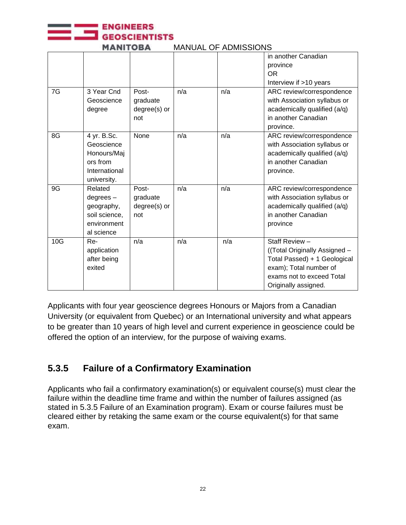

| 7G  | 3 Year Cnd<br>Geoscience<br>degree                                                   | Post-<br>graduate<br>degree(s) or<br>not | n/a | n/a | in another Canadian<br>province<br><b>OR</b><br>Interview if >10 years<br>ARC review/correspondence<br>with Association syllabus or<br>academically qualified (a/q)<br>in another Canadian |
|-----|--------------------------------------------------------------------------------------|------------------------------------------|-----|-----|--------------------------------------------------------------------------------------------------------------------------------------------------------------------------------------------|
| 8G  | 4 yr. B.Sc.<br>Geoscience<br>Honours/Maj<br>ors from<br>International<br>university. | None                                     | n/a | n/a | province.<br>ARC review/correspondence<br>with Association syllabus or<br>academically qualified (a/q)<br>in another Canadian<br>province.                                                 |
| 9G  | Related<br>$degrees -$<br>geography,<br>soil science,<br>environment<br>al science   | Post-<br>graduate<br>degree(s) or<br>not | n/a | n/a | ARC review/correspondence<br>with Association syllabus or<br>academically qualified (a/q)<br>in another Canadian<br>province                                                               |
| 10G | Re-<br>application<br>after being<br>exited                                          | n/a                                      | n/a | n/a | Staff Review -<br>((Total Originally Assigned -<br>Total Passed) + 1 Geological<br>exam); Total number of<br>exams not to exceed Total<br>Originally assigned.                             |

**MANITOBA** MANUAL OF ADMISSIONS

Applicants with four year geoscience degrees Honours or Majors from a Canadian University (or equivalent from Quebec) or an International university and what appears to be greater than 10 years of high level and current experience in geoscience could be offered the option of an interview, for the purpose of waiving exams.

## **5.3.5 Failure of a Confirmatory Examination**

Applicants who fail a confirmatory examination(s) or equivalent course(s) must clear the failure within the deadline time frame and within the number of failures assigned (as stated in 5.3.5 Failure of an Examination program). Exam or course failures must be cleared either by retaking the same exam or the course equivalent(s) for that same exam.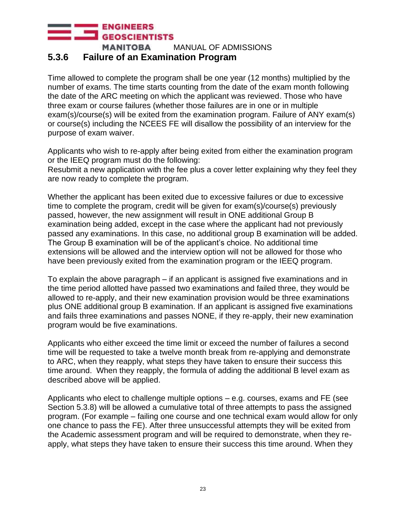#### **5.3.6 Failure of an Examination Program**

Time allowed to complete the program shall be one year (12 months) multiplied by the number of exams. The time starts counting from the date of the exam month following the date of the ARC meeting on which the applicant was reviewed. Those who have three exam or course failures (whether those failures are in one or in multiple exam(s)/course(s) will be exited from the examination program. Failure of ANY exam(s) or course(s) including the NCEES FE will disallow the possibility of an interview for the purpose of exam waiver.

Applicants who wish to re-apply after being exited from either the examination program or the IEEQ program must do the following:

Resubmit a new application with the fee plus a cover letter explaining why they feel they are now ready to complete the program.

Whether the applicant has been exited due to excessive failures or due to excessive time to complete the program, credit will be given for exam(s)/course(s) previously passed, however, the new assignment will result in ONE additional Group B examination being added, except in the case where the applicant had not previously passed any examinations. In this case, no additional group B examination will be added. The Group B examination will be of the applicant's choice. No additional time extensions will be allowed and the interview option will not be allowed for those who have been previously exited from the examination program or the IEEQ program.

To explain the above paragraph – if an applicant is assigned five examinations and in the time period allotted have passed two examinations and failed three, they would be allowed to re-apply, and their new examination provision would be three examinations plus ONE additional group B examination. If an applicant is assigned five examinations and fails three examinations and passes NONE, if they re-apply, their new examination program would be five examinations.

Applicants who either exceed the time limit or exceed the number of failures a second time will be requested to take a twelve month break from re-applying and demonstrate to ARC, when they reapply, what steps they have taken to ensure their success this time around. When they reapply, the formula of adding the additional B level exam as described above will be applied.

Applicants who elect to challenge multiple options – e.g. courses, exams and FE (see Section 5.3.8) will be allowed a cumulative total of three attempts to pass the assigned program. (For example – failing one course and one technical exam would allow for only one chance to pass the FE). After three unsuccessful attempts they will be exited from the Academic assessment program and will be required to demonstrate, when they reapply, what steps they have taken to ensure their success this time around. When they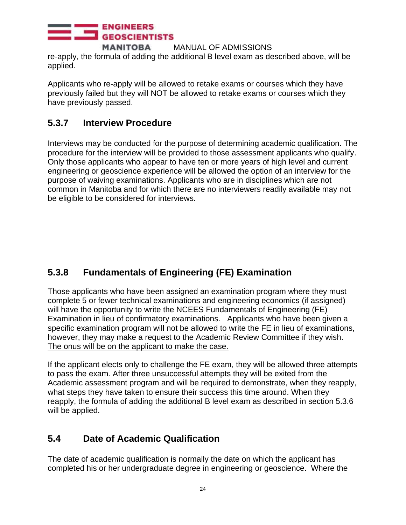re-apply, the formula of adding the additional B level exam as described above, will be applied.

Applicants who re-apply will be allowed to retake exams or courses which they have previously failed but they will NOT be allowed to retake exams or courses which they have previously passed.

#### **5.3.7 Interview Procedure**

Interviews may be conducted for the purpose of determining academic qualification. The procedure for the interview will be provided to those assessment applicants who qualify. Only those applicants who appear to have ten or more years of high level and current engineering or geoscience experience will be allowed the option of an interview for the purpose of waiving examinations. Applicants who are in disciplines which are not common in Manitoba and for which there are no interviewers readily available may not be eligible to be considered for interviews.

## **5.3.8 Fundamentals of Engineering (FE) Examination**

Those applicants who have been assigned an examination program where they must complete 5 or fewer technical examinations and engineering economics (if assigned) will have the opportunity to write the NCEES Fundamentals of Engineering (FE) Examination in lieu of confirmatory examinations. Applicants who have been given a specific examination program will not be allowed to write the FE in lieu of examinations, however, they may make a request to the Academic Review Committee if they wish. The onus will be on the applicant to make the case.

If the applicant elects only to challenge the FE exam, they will be allowed three attempts to pass the exam. After three unsuccessful attempts they will be exited from the Academic assessment program and will be required to demonstrate, when they reapply, what steps they have taken to ensure their success this time around. When they reapply, the formula of adding the additional B level exam as described in section 5.3.6 will be applied.

### <span id="page-23-0"></span>**5.4 Date of Academic Qualification**

The date of academic qualification is normally the date on which the applicant has completed his or her undergraduate degree in engineering or geoscience. Where the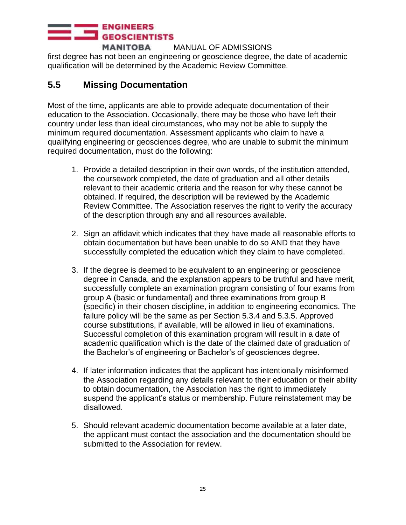first degree has not been an engineering or geoscience degree, the date of academic qualification will be determined by the Academic Review Committee.

## <span id="page-24-0"></span>**5.5 Missing Documentation**

Most of the time, applicants are able to provide adequate documentation of their education to the Association. Occasionally, there may be those who have left their country under less than ideal circumstances, who may not be able to supply the minimum required documentation. Assessment applicants who claim to have a qualifying engineering or geosciences degree, who are unable to submit the minimum required documentation, must do the following:

- 1. Provide a detailed description in their own words, of the institution attended, the coursework completed, the date of graduation and all other details relevant to their academic criteria and the reason for why these cannot be obtained. If required, the description will be reviewed by the Academic Review Committee. The Association reserves the right to verify the accuracy of the description through any and all resources available.
- 2. Sign an affidavit which indicates that they have made all reasonable efforts to obtain documentation but have been unable to do so AND that they have successfully completed the education which they claim to have completed.
- 3. If the degree is deemed to be equivalent to an engineering or geoscience degree in Canada, and the explanation appears to be truthful and have merit, successfully complete an examination program consisting of four exams from group A (basic or fundamental) and three examinations from group B (specific) in their chosen discipline, in addition to engineering economics. The failure policy will be the same as per Section 5.3.4 and 5.3.5. Approved course substitutions, if available, will be allowed in lieu of examinations. Successful completion of this examination program will result in a date of academic qualification which is the date of the claimed date of graduation of the Bachelor's of engineering or Bachelor's of geosciences degree.
- 4. If later information indicates that the applicant has intentionally misinformed the Association regarding any details relevant to their education or their ability to obtain documentation, the Association has the right to immediately suspend the applicant's status or membership. Future reinstatement may be disallowed.
- 5. Should relevant academic documentation become available at a later date, the applicant must contact the association and the documentation should be submitted to the Association for review.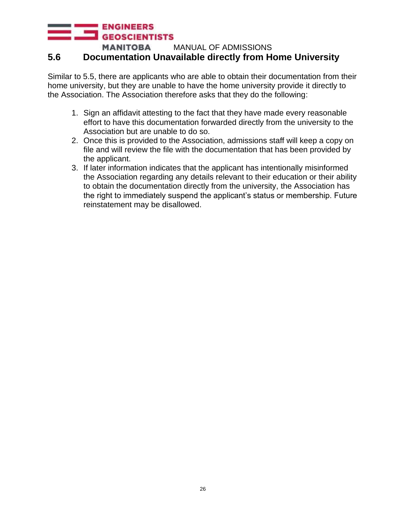#### **ENGINEERS GEOSCIENTISTS**

**MANITOBA** MANUAL OF ADMISSIONS

#### **5.6 Documentation Unavailable directly from Home University**

Similar to 5.5, there are applicants who are able to obtain their documentation from their home university, but they are unable to have the home university provide it directly to the Association. The Association therefore asks that they do the following:

- 1. Sign an affidavit attesting to the fact that they have made every reasonable effort to have this documentation forwarded directly from the university to the Association but are unable to do so.
- 2. Once this is provided to the Association, admissions staff will keep a copy on file and will review the file with the documentation that has been provided by the applicant.
- 3. If later information indicates that the applicant has intentionally misinformed the Association regarding any details relevant to their education or their ability to obtain the documentation directly from the university, the Association has the right to immediately suspend the applicant's status or membership. Future reinstatement may be disallowed.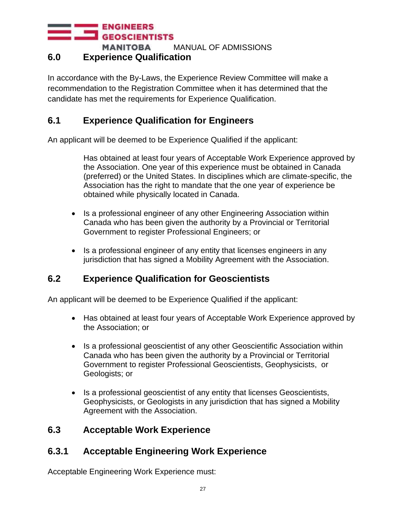#### <span id="page-26-0"></span>**6.0 Experience Qualification**

In accordance with the By-Laws, the Experience Review Committee will make a recommendation to the Registration Committee when it has determined that the candidate has met the requirements for Experience Qualification.

#### <span id="page-26-1"></span>**6.1 Experience Qualification for Engineers**

An applicant will be deemed to be Experience Qualified if the applicant:

Has obtained at least four years of Acceptable Work Experience approved by the Association. One year of this experience must be obtained in Canada (preferred) or the United States. In disciplines which are climate-specific, the Association has the right to mandate that the one year of experience be obtained while physically located in Canada.

- Is a professional engineer of any other Engineering Association within Canada who has been given the authority by a Provincial or Territorial Government to register Professional Engineers; or
- Is a professional engineer of any entity that licenses engineers in any jurisdiction that has signed a Mobility Agreement with the Association.

#### <span id="page-26-2"></span>**6.2 Experience Qualification for Geoscientists**

An applicant will be deemed to be Experience Qualified if the applicant:

- Has obtained at least four years of Acceptable Work Experience approved by the Association; or
- Is a professional geoscientist of any other Geoscientific Association within Canada who has been given the authority by a Provincial or Territorial Government to register Professional Geoscientists, Geophysicists, or Geologists; or
- Is a professional geoscientist of any entity that licenses Geoscientists, Geophysicists, or Geologists in any jurisdiction that has signed a Mobility Agreement with the Association.

#### <span id="page-26-3"></span>**6.3 Acceptable Work Experience**

### **6.3.1 Acceptable Engineering Work Experience**

Acceptable Engineering Work Experience must: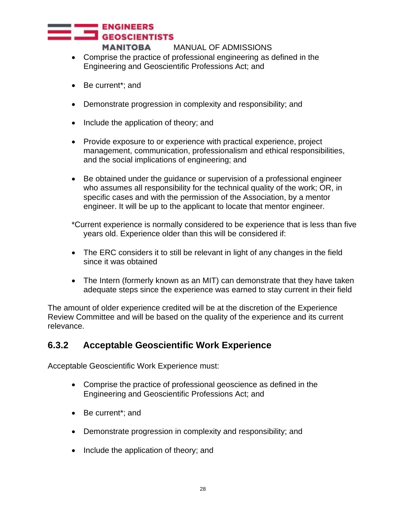- Comprise the practice of professional engineering as defined in the Engineering and Geoscientific Professions Act; and
- Be current\*; and
- Demonstrate progression in complexity and responsibility; and
- Include the application of theory; and
- Provide exposure to or experience with practical experience, project management, communication, professionalism and ethical responsibilities, and the social implications of engineering; and
- Be obtained under the guidance or supervision of a professional engineer who assumes all responsibility for the technical quality of the work; OR, in specific cases and with the permission of the Association, by a mentor engineer. It will be up to the applicant to locate that mentor engineer.

\*Current experience is normally considered to be experience that is less than five years old. Experience older than this will be considered if:

- The ERC considers it to still be relevant in light of any changes in the field since it was obtained
- The Intern (formerly known as an MIT) can demonstrate that they have taken adequate steps since the experience was earned to stay current in their field

The amount of older experience credited will be at the discretion of the Experience Review Committee and will be based on the quality of the experience and its current relevance.

#### **6.3.2 Acceptable Geoscientific Work Experience**

Acceptable Geoscientific Work Experience must:

- Comprise the practice of professional geoscience as defined in the Engineering and Geoscientific Professions Act; and
- Be current\*; and
- Demonstrate progression in complexity and responsibility; and
- Include the application of theory; and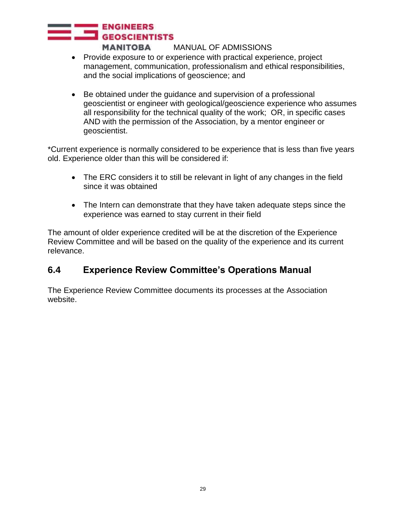- Provide exposure to or experience with practical experience, project management, communication, professionalism and ethical responsibilities, and the social implications of geoscience; and
- Be obtained under the guidance and supervision of a professional geoscientist or engineer with geological/geoscience experience who assumes all responsibility for the technical quality of the work; OR, in specific cases AND with the permission of the Association, by a mentor engineer or geoscientist.

\*Current experience is normally considered to be experience that is less than five years old. Experience older than this will be considered if:

- The ERC considers it to still be relevant in light of any changes in the field since it was obtained
- The Intern can demonstrate that they have taken adequate steps since the experience was earned to stay current in their field

The amount of older experience credited will be at the discretion of the Experience Review Committee and will be based on the quality of the experience and its current relevance.

### <span id="page-28-0"></span>**6.4 Experience Review Committee's Operations Manual**

The Experience Review Committee documents its processes at the Association website.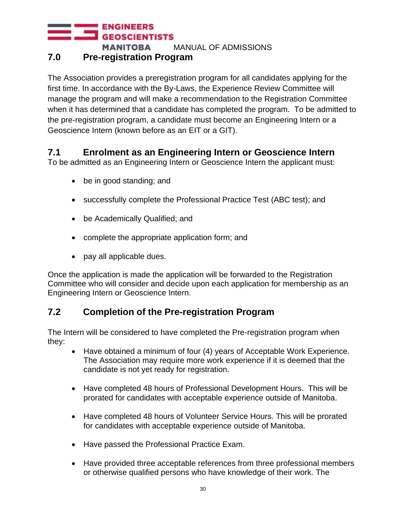### <span id="page-29-0"></span>**7.0 Pre-registration Program**

The Association provides a preregistration program for all candidates applying for the first time. In accordance with the By-Laws, the Experience Review Committee will manage the program and will make a recommendation to the Registration Committee when it has determined that a candidate has completed the program. To be admitted to the pre-registration program, a candidate must become an Engineering Intern or a Geoscience Intern (known before as an EIT or a GIT).

## <span id="page-29-1"></span>**7.1 Enrolment as an Engineering Intern or Geoscience Intern**

To be admitted as an Engineering Intern or Geoscience Intern the applicant must:

- be in good standing; and
- successfully complete the Professional Practice Test (ABC test); and
- be Academically Qualified; and
- complete the appropriate application form; and
- pay all applicable dues.

Once the application is made the application will be forwarded to the Registration Committee who will consider and decide upon each application for membership as an Engineering Intern or Geoscience Intern.

### <span id="page-29-2"></span>**7.2 Completion of the Pre-registration Program**

The Intern will be considered to have completed the Pre-registration program when they:

- Have obtained a minimum of four (4) years of Acceptable Work Experience. The Association may require more work experience if it is deemed that the candidate is not yet ready for registration.
- Have completed 48 hours of Professional Development Hours. This will be prorated for candidates with acceptable experience outside of Manitoba.
- Have completed 48 hours of Volunteer Service Hours. This will be prorated for candidates with acceptable experience outside of Manitoba.
- Have passed the Professional Practice Exam.
- Have provided three acceptable references from three professional members or otherwise qualified persons who have knowledge of their work. The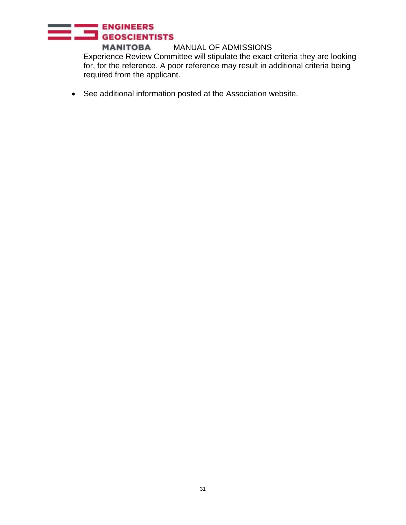## ENGINEERS

**MANITOBA** MANUAL OF ADMISSIONS Experience Review Committee will stipulate the exact criteria they are looking for, for the reference. A poor reference may result in additional criteria being required from the applicant.

• See additional information posted at the Association website.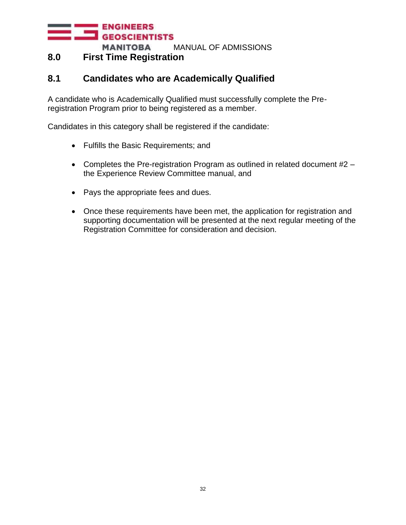#### <span id="page-31-0"></span>**8.0 First Time Registration**

#### <span id="page-31-1"></span>**8.1 Candidates who are Academically Qualified**

A candidate who is Academically Qualified must successfully complete the Preregistration Program prior to being registered as a member.

Candidates in this category shall be registered if the candidate:

- Fulfills the Basic Requirements; and
- Completes the Pre-registration Program as outlined in related document #2 the Experience Review Committee manual, and
- Pays the appropriate fees and dues.
- Once these requirements have been met, the application for registration and supporting documentation will be presented at the next regular meeting of the Registration Committee for consideration and decision.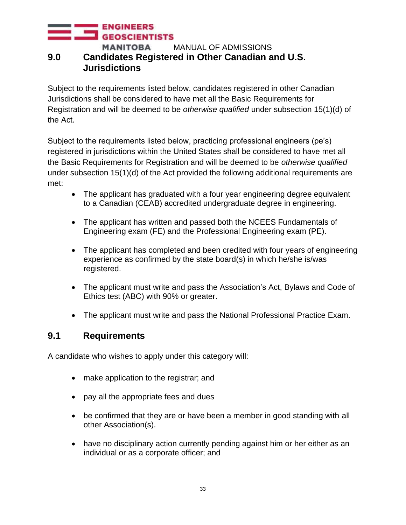#### **ENGINEERS GEOSCIENTISTS MANITOBA** MANUAL OF ADMISSIONS **9.0 Candidates Registered in Other Canadian and U.S.**

#### <span id="page-32-0"></span>**Jurisdictions**

Subject to the requirements listed below, candidates registered in other Canadian Jurisdictions shall be considered to have met all the Basic Requirements for Registration and will be deemed to be *otherwise qualified* under subsection 15(1)(d) of the Act.

Subject to the requirements listed below, practicing professional engineers (pe's) registered in jurisdictions within the United States shall be considered to have met all the Basic Requirements for Registration and will be deemed to be *otherwise qualified* under subsection 15(1)(d) of the Act provided the following additional requirements are met:

- The applicant has graduated with a four year engineering degree equivalent to a Canadian (CEAB) accredited undergraduate degree in engineering.
- The applicant has written and passed both the NCEES Fundamentals of Engineering exam (FE) and the Professional Engineering exam (PE).
- The applicant has completed and been credited with four years of engineering experience as confirmed by the state board(s) in which he/she is/was registered.
- The applicant must write and pass the Association's Act, Bylaws and Code of Ethics test (ABC) with 90% or greater.
- The applicant must write and pass the National Professional Practice Exam.

#### <span id="page-32-1"></span>**9.1 Requirements**

A candidate who wishes to apply under this category will:

- make application to the registrar; and
- pay all the appropriate fees and dues
- be confirmed that they are or have been a member in good standing with all other Association(s).
- have no disciplinary action currently pending against him or her either as an individual or as a corporate officer; and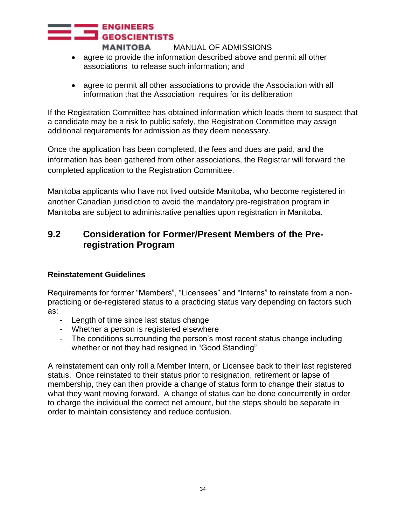- agree to provide the information described above and permit all other associations to release such information; and
- agree to permit all other associations to provide the Association with all information that the Association requires for its deliberation

If the Registration Committee has obtained information which leads them to suspect that a candidate may be a risk to public safety, the Registration Committee may assign additional requirements for admission as they deem necessary.

Once the application has been completed, the fees and dues are paid, and the information has been gathered from other associations, the Registrar will forward the completed application to the Registration Committee.

Manitoba applicants who have not lived outside Manitoba, who become registered in another Canadian jurisdiction to avoid the mandatory pre-registration program in Manitoba are subject to administrative penalties upon registration in Manitoba.

### <span id="page-33-0"></span>**9.2 Consideration for Former/Present Members of the Preregistration Program**

#### **Reinstatement Guidelines**

Requirements for former "Members", "Licensees" and "Interns" to reinstate from a nonpracticing or de-registered status to a practicing status vary depending on factors such as:

- Length of time since last status change
- Whether a person is registered elsewhere
- The conditions surrounding the person's most recent status change including whether or not they had resigned in "Good Standing"

A reinstatement can only roll a Member Intern, or Licensee back to their last registered status. Once reinstated to their status prior to resignation, retirement or lapse of membership, they can then provide a change of status form to change their status to what they want moving forward. A change of status can be done concurrently in order to charge the individual the correct net amount, but the steps should be separate in order to maintain consistency and reduce confusion.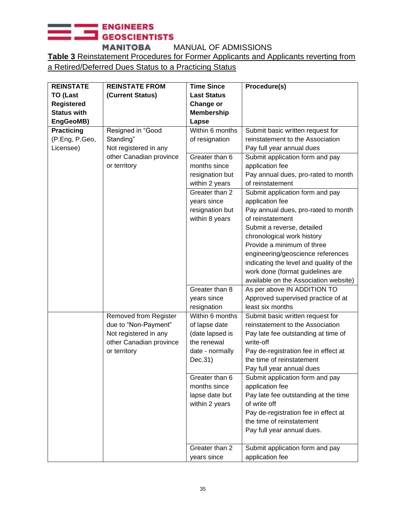## ENGINEERS

**MANITOBA** MANUAL OF ADMISSIONS **Table 3** Reinstatement Procedures for Former Applicants and Applicants reverting from a Retired/Deferred Dues Status to a Practicing Status

| <b>REINSTATE</b>   | <b>REINSTATE FROM</b>   | <b>Time Since</b>  | Procedure(s)                            |
|--------------------|-------------------------|--------------------|-----------------------------------------|
| <b>TO (Last</b>    | (Current Status)        | <b>Last Status</b> |                                         |
| <b>Registered</b>  |                         | Change or          |                                         |
| <b>Status with</b> |                         | <b>Membership</b>  |                                         |
| EngGeoMB)          |                         | Lapse              |                                         |
| <b>Practicing</b>  | Resigned in "Good       | Within 6 months    | Submit basic written request for        |
| (P.Eng, P.Geo,     | Standing"               | of resignation     | reinstatement to the Association        |
| Licensee)          | Not registered in any   |                    | Pay full year annual dues               |
|                    | other Canadian province | Greater than 6     | Submit application form and pay         |
|                    | or territory            | months since       | application fee                         |
|                    |                         | resignation but    | Pay annual dues, pro-rated to month     |
|                    |                         | within 2 years     | of reinstatement                        |
|                    |                         | Greater than 2     | Submit application form and pay         |
|                    |                         | years since        | application fee                         |
|                    |                         | resignation but    | Pay annual dues, pro-rated to month     |
|                    |                         | within 8 years     | of reinstatement                        |
|                    |                         |                    | Submit a reverse, detailed              |
|                    |                         |                    | chronological work history              |
|                    |                         |                    | Provide a minimum of three              |
|                    |                         |                    | engineering/geoscience references       |
|                    |                         |                    | indicating the level and quality of the |
|                    |                         |                    | work done (format guidelines are        |
|                    |                         |                    | available on the Association website)   |
|                    |                         | Greater than 8     | As per above IN ADDITION TO             |
|                    |                         | years since        | Approved supervised practice of at      |
|                    |                         | resignation        | least six months                        |
|                    | Removed from Register   | Within 6 months    | Submit basic written request for        |
|                    | due to "Non-Payment"    | of lapse date      | reinstatement to the Association        |
|                    | Not registered in any   | (date lapsed is    | Pay late fee outstanding at time of     |
|                    | other Canadian province | the renewal        | write-off                               |
|                    | or territory            | date - normally    | Pay de-registration fee in effect at    |
|                    |                         | Dec.31)            | the time of reinstatement               |
|                    |                         |                    | Pay full year annual dues               |
|                    |                         | Greater than 6     | Submit application form and pay         |
|                    |                         | months since       | application fee                         |
|                    |                         | lapse date but     | Pay late fee outstanding at the time    |
|                    |                         | within 2 years     | of write off                            |
|                    |                         |                    | Pay de-registration fee in effect at    |
|                    |                         |                    | the time of reinstatement               |
|                    |                         |                    | Pay full year annual dues.              |
|                    |                         | Greater than 2     | Submit application form and pay         |
|                    |                         | years since        | application fee                         |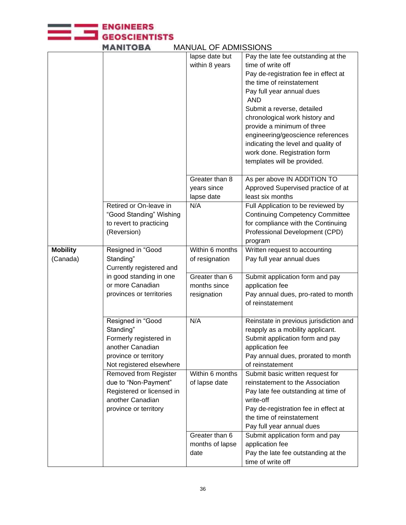**MANITOBA** lapse date but Pay the late fee outstanding at the within 8 years time of write off Pay de-registration fee in effect at the time of reinstatement Pay full year annual dues AND Submit a reverse, detailed chronological work history and provide a minimum of three engineering/geoscience references indicating the level and quality of work done. Registration form templates will be provided. Greater than 8 As per above IN ADDITION TO years since Approved Supervised practice of at lapse date least six months Retired or On-leave in N/A **Full Application to be reviewed by** "Good Standing" Wishing Continuing Competency Committee to revert to practicing for compliance with the Continuing Professional Development (CPD) (Reversion) program **Mobility** Resigned in "Good Within 6 months Written request to accounting (Canada) Standing" of resignation Pay full year annual dues Currently registered and in good standing in one Greater than 6 Submit application form and pay or more Canadian months since application fee provinces or territories Pay annual dues, pro-rated to month resignation of reinstatement Resigned in "Good N/A Reinstate in previous jurisdiction and Standing" reapply as a mobility applicant. Formerly registered in Submit application form and pay another Canadian application fee province or territory Pay annual dues, prorated to month Not registered elsewhere of reinstatement Removed from Register Within 6 months Submit basic written request for due to "Non-Payment" of lapse date reinstatement to the Association Registered or licensed in Pay late fee outstanding at time of another Canadian write-off province or territory Pay de-registration fee in effect at the time of reinstatement Pay full year annual dues Greater than 6 Submit application form and pay months of lapse application fee date Pay the late fee outstanding at the time of write off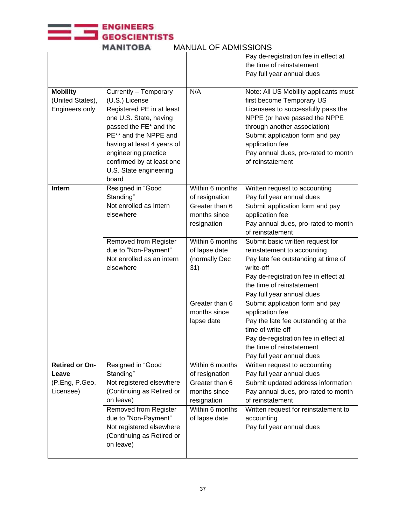

| <b>MANITOBA</b><br><b>MANUAL OF ADMISSIONS</b> |
|------------------------------------------------|
|------------------------------------------------|

|                       |                              |                 | Pay de-registration fee in effect at  |
|-----------------------|------------------------------|-----------------|---------------------------------------|
|                       |                              |                 | the time of reinstatement             |
|                       |                              |                 | Pay full year annual dues             |
|                       |                              |                 |                                       |
| <b>Mobility</b>       | Currently - Temporary        | N/A             | Note: All US Mobility applicants must |
| (United States),      | (U.S.) License               |                 | first become Temporary US             |
| Engineers only        | Registered PE in at least    |                 | Licensees to successfully pass the    |
|                       | one U.S. State, having       |                 | NPPE (or have passed the NPPE         |
|                       | passed the FE* and the       |                 | through another association)          |
|                       | PE** and the NPPE and        |                 | Submit application form and pay       |
|                       | having at least 4 years of   |                 | application fee                       |
|                       | engineering practice         |                 | Pay annual dues, pro-rated to month   |
|                       | confirmed by at least one    |                 | of reinstatement                      |
|                       | U.S. State engineering       |                 |                                       |
|                       | board                        |                 |                                       |
| <b>Intern</b>         | Resigned in "Good            | Within 6 months | Written request to accounting         |
|                       | Standing"                    | of resignation  | Pay full year annual dues             |
|                       | Not enrolled as Intern       | Greater than 6  | Submit application form and pay       |
|                       | elsewhere                    | months since    | application fee                       |
|                       |                              | resignation     | Pay annual dues, pro-rated to month   |
|                       |                              |                 | of reinstatement                      |
|                       | Removed from Register        | Within 6 months | Submit basic written request for      |
|                       | due to "Non-Payment"         | of lapse date   | reinstatement to accounting           |
|                       | Not enrolled as an intern    | (normally Dec   | Pay late fee outstanding at time of   |
|                       | elsewhere                    | 31)             | write-off                             |
|                       |                              |                 | Pay de-registration fee in effect at  |
|                       |                              |                 | the time of reinstatement             |
|                       |                              |                 | Pay full year annual dues             |
|                       |                              | Greater than 6  | Submit application form and pay       |
|                       |                              | months since    | application fee                       |
|                       |                              | lapse date      | Pay the late fee outstanding at the   |
|                       |                              |                 | time of write off                     |
|                       |                              |                 | Pay de-registration fee in effect at  |
|                       |                              |                 | the time of reinstatement             |
|                       |                              |                 | Pay full year annual dues             |
| <b>Retired or On-</b> | Resigned in "Good            | Within 6 months | Written request to accounting         |
| Leave                 | Standing"                    | of resignation  | Pay full year annual dues             |
| (P.Eng, P.Geo,        | Not registered elsewhere     | Greater than 6  | Submit updated address information    |
| Licensee)             | (Continuing as Retired or    | months since    | Pay annual dues, pro-rated to month   |
|                       | on leave)                    | resignation     | of reinstatement                      |
|                       | <b>Removed from Register</b> | Within 6 months | Written request for reinstatement to  |
|                       | due to "Non-Payment"         | of lapse date   | accounting                            |
|                       | Not registered elsewhere     |                 | Pay full year annual dues             |
|                       | (Continuing as Retired or    |                 |                                       |
|                       | on leave)                    |                 |                                       |
|                       |                              |                 |                                       |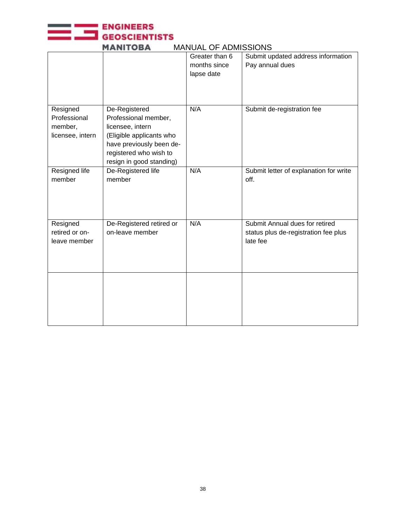

| MANI UPA<br>טורטוטטווער וט באטאורוויו |                          |                |                                        |  |
|---------------------------------------|--------------------------|----------------|----------------------------------------|--|
|                                       |                          | Greater than 6 | Submit updated address information     |  |
|                                       |                          | months since   | Pay annual dues                        |  |
|                                       |                          | lapse date     |                                        |  |
|                                       |                          |                |                                        |  |
|                                       |                          |                |                                        |  |
|                                       |                          |                |                                        |  |
|                                       |                          |                |                                        |  |
| Resigned                              | De-Registered            | N/A            | Submit de-registration fee             |  |
| Professional                          | Professional member,     |                |                                        |  |
| member,                               | licensee, intern         |                |                                        |  |
| licensee, intern                      | (Eligible applicants who |                |                                        |  |
|                                       | have previously been de- |                |                                        |  |
|                                       | registered who wish to   |                |                                        |  |
|                                       |                          |                |                                        |  |
|                                       | resign in good standing) |                |                                        |  |
| Resigned life                         | De-Registered life       | N/A            | Submit letter of explanation for write |  |
| member                                | member                   |                | off.                                   |  |
|                                       |                          |                |                                        |  |
|                                       |                          |                |                                        |  |
|                                       |                          |                |                                        |  |
|                                       |                          |                |                                        |  |
|                                       |                          | N/A            | Submit Annual dues for retired         |  |
| Resigned                              | De-Registered retired or |                |                                        |  |
| retired or on-                        | on-leave member          |                | status plus de-registration fee plus   |  |
| leave member                          |                          |                | late fee                               |  |
|                                       |                          |                |                                        |  |
|                                       |                          |                |                                        |  |
|                                       |                          |                |                                        |  |
|                                       |                          |                |                                        |  |
|                                       |                          |                |                                        |  |
|                                       |                          |                |                                        |  |
|                                       |                          |                |                                        |  |
|                                       |                          |                |                                        |  |
|                                       |                          |                |                                        |  |
|                                       |                          |                |                                        |  |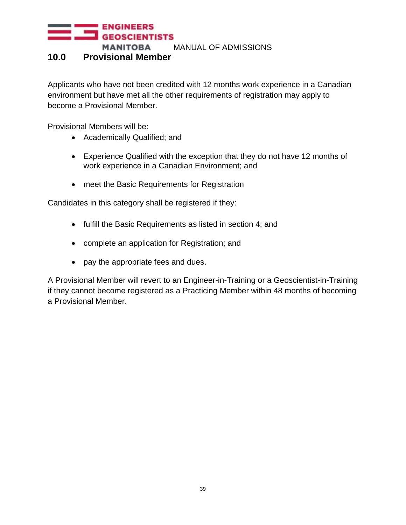#### <span id="page-38-0"></span>**10.0 Provisional Member**

Applicants who have not been credited with 12 months work experience in a Canadian environment but have met all the other requirements of registration may apply to become a Provisional Member.

Provisional Members will be:

- Academically Qualified; and
- Experience Qualified with the exception that they do not have 12 months of work experience in a Canadian Environment; and
- meet the Basic Requirements for Registration

Candidates in this category shall be registered if they:

- fulfill the Basic Requirements as listed in section 4; and
- complete an application for Registration; and
- pay the appropriate fees and dues.

A Provisional Member will revert to an Engineer-in-Training or a Geoscientist-in-Training if they cannot become registered as a Practicing Member within 48 months of becoming a Provisional Member.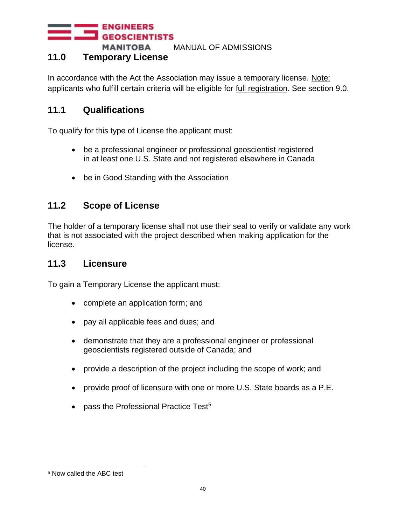**ENGINEERS GEOSCIENTISTS** 

**MANITOBA** MANUAL OF ADMISSIONS

#### **11.0 Temporary License**

In accordance with the Act the Association may issue a temporary license. Note: applicants who fulfill certain criteria will be eligible for full registration. See section 9.0.

#### <span id="page-39-0"></span>**11.1 Qualifications**

To qualify for this type of License the applicant must:

- be a professional engineer or professional geoscientist registered in at least one U.S. State and not registered elsewhere in Canada
- be in Good Standing with the Association

## <span id="page-39-1"></span>**11.2 Scope of License**

The holder of a temporary license shall not use their seal to verify or validate any work that is not associated with the project described when making application for the license.

#### <span id="page-39-2"></span>**11.3 Licensure**

To gain a Temporary License the applicant must:

- complete an application form; and
- pay all applicable fees and dues; and
- demonstrate that they are a professional engineer or professional geoscientists registered outside of Canada; and
- provide a description of the project including the scope of work; and
- provide proof of licensure with one or more U.S. State boards as a P.E.
- pass the Professional Practice Test<sup>5</sup>

<sup>5</sup> Now called the ABC test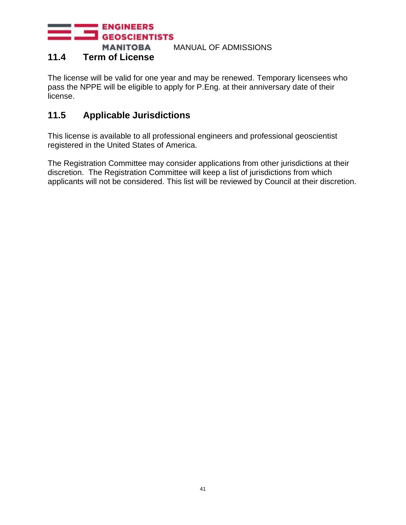#### <span id="page-40-0"></span>**11.4 Term of License**

The license will be valid for one year and may be renewed. Temporary licensees who pass the NPPE will be eligible to apply for P.Eng. at their anniversary date of their license.

## <span id="page-40-1"></span>**11.5 Applicable Jurisdictions**

This license is available to all professional engineers and professional geoscientist registered in the United States of America.

The Registration Committee may consider applications from other jurisdictions at their discretion. The Registration Committee will keep a list of jurisdictions from which applicants will not be considered. This list will be reviewed by Council at their discretion.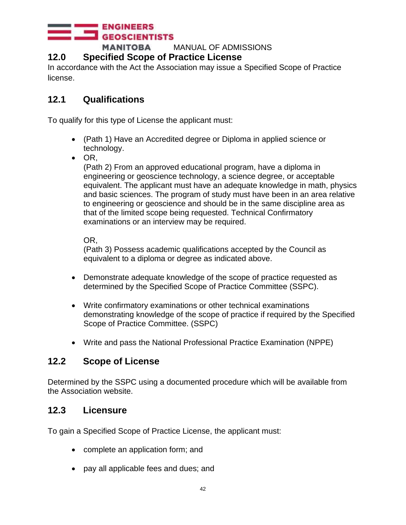#### **ENGINEERS GEOSCIENTISTS**

**MANITOBA** MANUAL OF ADMISSIONS

#### **12.0 Specified Scope of Practice License**

In accordance with the Act the Association may issue a Specified Scope of Practice license.

## **12.1 Qualifications**

To qualify for this type of License the applicant must:

- (Path 1) Have an Accredited degree or Diploma in applied science or technology.
- OR,

(Path 2) From an approved educational program, have a diploma in engineering or geoscience technology, a science degree, or acceptable equivalent. The applicant must have an adequate knowledge in math, physics and basic sciences. The program of study must have been in an area relative to engineering or geoscience and should be in the same discipline area as that of the limited scope being requested. Technical Confirmatory examinations or an interview may be required.

OR,

(Path 3) Possess academic qualifications accepted by the Council as equivalent to a diploma or degree as indicated above.

- Demonstrate adequate knowledge of the scope of practice requested as determined by the Specified Scope of Practice Committee (SSPC).
- Write confirmatory examinations or other technical examinations demonstrating knowledge of the scope of practice if required by the Specified Scope of Practice Committee. (SSPC)
- Write and pass the National Professional Practice Examination (NPPE)

### **12.2 Scope of License**

Determined by the SSPC using a documented procedure which will be available from the Association website.

### **12.3 Licensure**

To gain a Specified Scope of Practice License, the applicant must:

- complete an application form; and
- pay all applicable fees and dues; and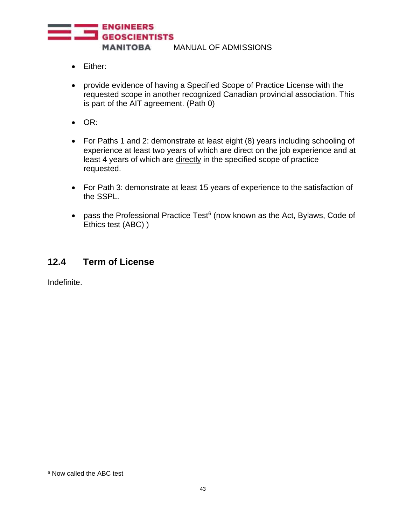

- Either:
- provide evidence of having a Specified Scope of Practice License with the requested scope in another recognized Canadian provincial association. This is part of the AIT agreement. (Path 0)
- OR:
- For Paths 1 and 2: demonstrate at least eight (8) years including schooling of experience at least two years of which are direct on the job experience and at least 4 years of which are directly in the specified scope of practice requested.
- For Path 3: demonstrate at least 15 years of experience to the satisfaction of the SSPL.
- pass the Professional Practice Test<sup>6</sup> (now known as the Act, Bylaws, Code of Ethics test (ABC) )

#### **12.4 Term of License**

Indefinite.

<sup>6</sup> Now called the ABC test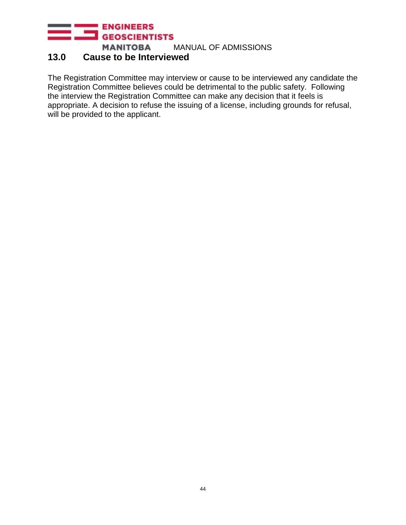## **13.0 Cause to be Interviewed**

The Registration Committee may interview or cause to be interviewed any candidate the Registration Committee believes could be detrimental to the public safety. Following the interview the Registration Committee can make any decision that it feels is appropriate. A decision to refuse the issuing of a license, including grounds for refusal, will be provided to the applicant.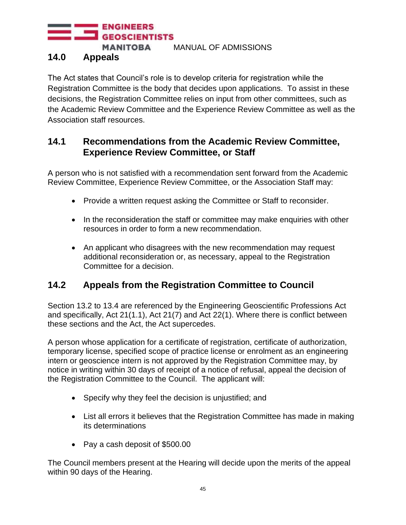**ENGINEERS GEOSCIENTISTS MANITOBA** 

MANUAL OF ADMISSIONS

#### <span id="page-44-0"></span>**14.0 Appeals**

The Act states that Council's role is to develop criteria for registration while the Registration Committee is the body that decides upon applications. To assist in these decisions, the Registration Committee relies on input from other committees, such as the Academic Review Committee and the Experience Review Committee as well as the Association staff resources.

#### <span id="page-44-1"></span>**14.1 Recommendations from the Academic Review Committee, Experience Review Committee, or Staff**

A person who is not satisfied with a recommendation sent forward from the Academic Review Committee, Experience Review Committee, or the Association Staff may:

- Provide a written request asking the Committee or Staff to reconsider.
- In the reconsideration the staff or committee may make enquiries with other resources in order to form a new recommendation.
- An applicant who disagrees with the new recommendation may request additional reconsideration or, as necessary, appeal to the Registration Committee for a decision.

### <span id="page-44-2"></span>**14.2 Appeals from the Registration Committee to Council**

Section 13.2 to 13.4 are referenced by the Engineering Geoscientific Professions Act and specifically, Act 21(1.1), Act 21(7) and Act 22(1). Where there is conflict between these sections and the Act, the Act supercedes.

A person whose application for a certificate of registration, certificate of authorization, temporary license, specified scope of practice license or enrolment as an engineering intern or geoscience intern is not approved by the Registration Committee may, by notice in writing within 30 days of receipt of a notice of refusal, appeal the decision of the Registration Committee to the Council. The applicant will:

- Specify why they feel the decision is unjustified; and
- List all errors it believes that the Registration Committee has made in making its determinations
- Pay a cash deposit of \$500.00

The Council members present at the Hearing will decide upon the merits of the appeal within 90 days of the Hearing.